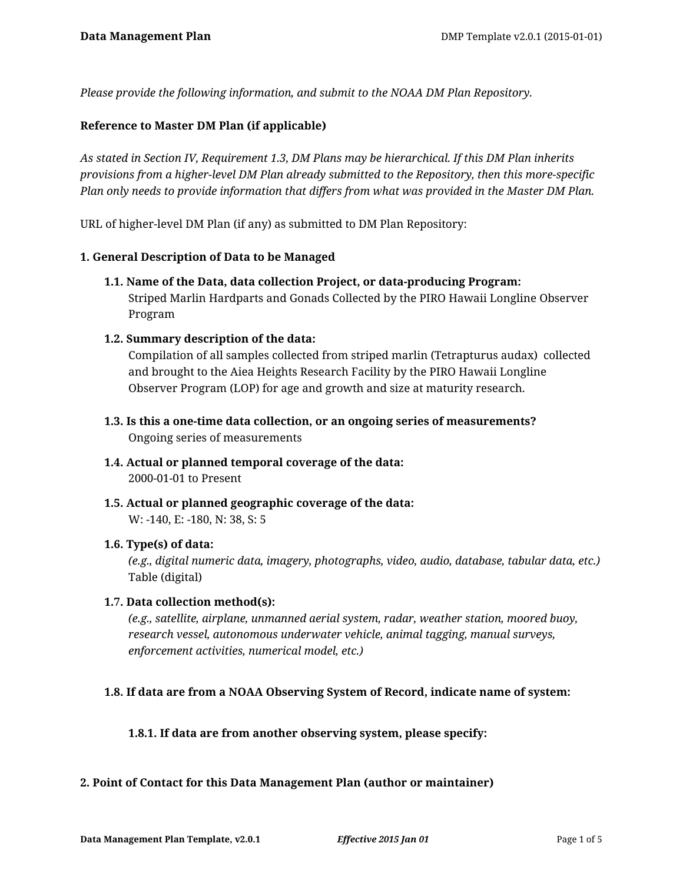*Please provide the following information, and submit to the NOAA DM Plan Repository.*

### **Reference to Master DM Plan (if applicable)**

*As stated in Section IV, Requirement 1.3, DM Plans may be hierarchical. If this DM Plan inherits provisions from a higher-level DM Plan already submitted to the Repository, then this more-specific Plan only needs to provide information that differs from what was provided in the Master DM Plan.*

URL of higher-level DM Plan (if any) as submitted to DM Plan Repository:

#### **1. General Description of Data to be Managed**

**1.1. Name of the Data, data collection Project, or data-producing Program:** Striped Marlin Hardparts and Gonads Collected by the PIRO Hawaii Longline Observer Program

#### **1.2. Summary description of the data:**

Compilation of all samples collected from striped marlin (Tetrapturus audax) collected and brought to the Aiea Heights Research Facility by the PIRO Hawaii Longline Observer Program (LOP) for age and growth and size at maturity research.

- **1.3. Is this a one-time data collection, or an ongoing series of measurements?** Ongoing series of measurements
- **1.4. Actual or planned temporal coverage of the data:** 2000-01-01 to Present
- **1.5. Actual or planned geographic coverage of the data:** W: -140, E: -180, N: 38, S: 5

#### **1.6. Type(s) of data:**

*(e.g., digital numeric data, imagery, photographs, video, audio, database, tabular data, etc.)* Table (digital)

#### **1.7. Data collection method(s):**

*(e.g., satellite, airplane, unmanned aerial system, radar, weather station, moored buoy, research vessel, autonomous underwater vehicle, animal tagging, manual surveys, enforcement activities, numerical model, etc.)*

#### **1.8. If data are from a NOAA Observing System of Record, indicate name of system:**

#### **1.8.1. If data are from another observing system, please specify:**

#### **2. Point of Contact for this Data Management Plan (author or maintainer)**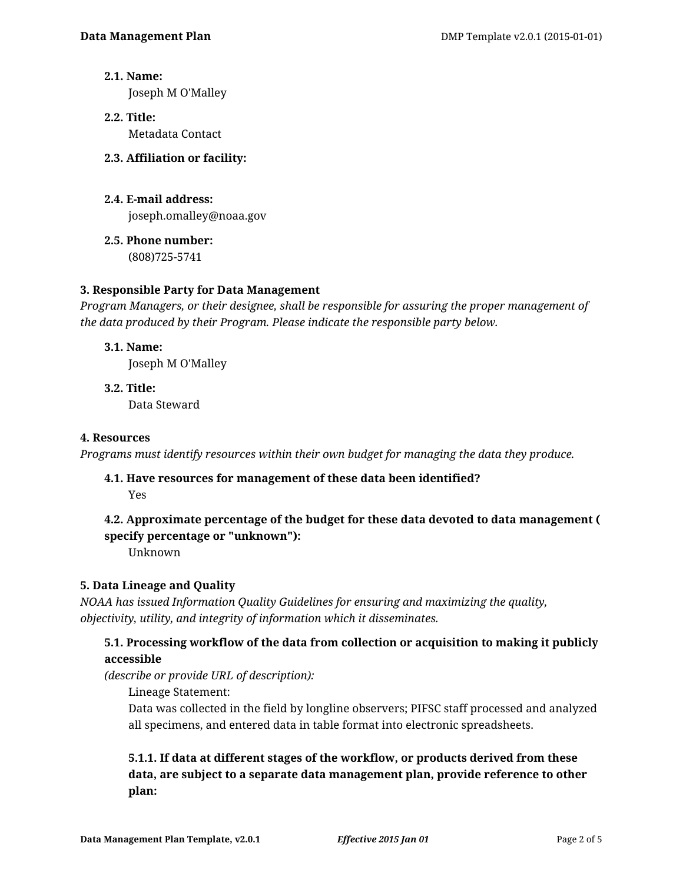**2.1. Name:**

Joseph M O'Malley

- **2.2. Title:** Metadata Contact
- **2.3. Affiliation or facility:**
- **2.4. E-mail address:** joseph.omalley@noaa.gov
- **2.5. Phone number:**

(808)725-5741

## **3. Responsible Party for Data Management**

*Program Managers, or their designee, shall be responsible for assuring the proper management of the data produced by their Program. Please indicate the responsible party below.*

**3.1. Name:**

Joseph M O'Malley

**3.2. Title:** Data Steward

## **4. Resources**

*Programs must identify resources within their own budget for managing the data they produce.*

**4.1. Have resources for management of these data been identified?**

Yes

# **4.2. Approximate percentage of the budget for these data devoted to data management ( specify percentage or "unknown"):**

Unknown

# **5. Data Lineage and Quality**

*NOAA has issued Information Quality Guidelines for ensuring and maximizing the quality, objectivity, utility, and integrity of information which it disseminates.*

## **5.1. Processing workflow of the data from collection or acquisition to making it publicly accessible**

*(describe or provide URL of description):*

Lineage Statement:

Data was collected in the field by longline observers; PIFSC staff processed and analyzed all specimens, and entered data in table format into electronic spreadsheets.

**5.1.1. If data at different stages of the workflow, or products derived from these data, are subject to a separate data management plan, provide reference to other plan:**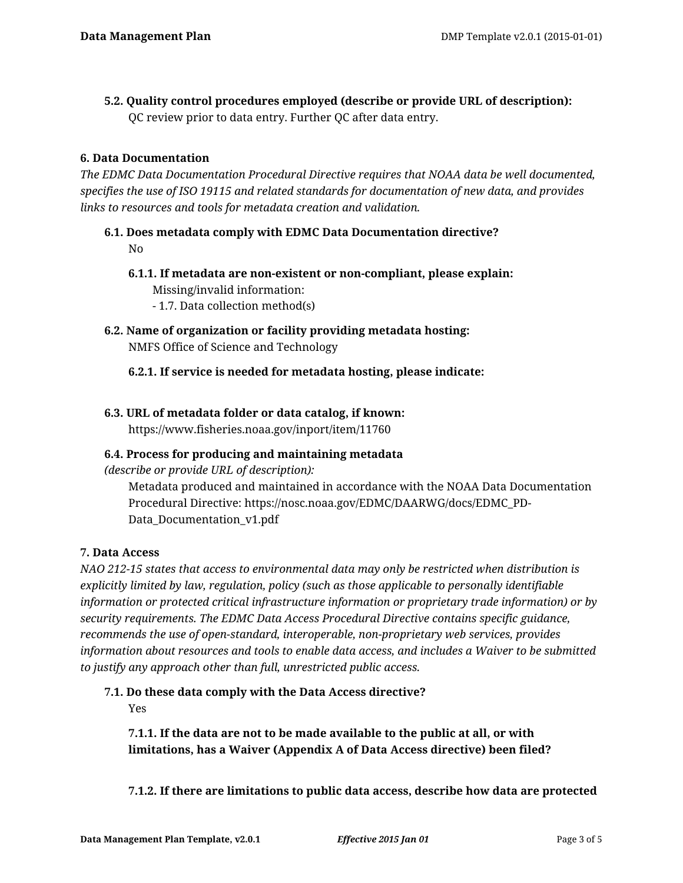**5.2. Quality control procedures employed (describe or provide URL of description):** QC review prior to data entry. Further QC after data entry.

## **6. Data Documentation**

*The EDMC Data Documentation Procedural Directive requires that NOAA data be well documented, specifies the use of ISO 19115 and related standards for documentation of new data, and provides links to resources and tools for metadata creation and validation.*

**6.1. Does metadata comply with EDMC Data Documentation directive?** No

- **6.1.1. If metadata are non-existent or non-compliant, please explain:** Missing/invalid information:
	- 1.7. Data collection method(s)
- **6.2. Name of organization or facility providing metadata hosting:** NMFS Office of Science and Technology

## **6.2.1. If service is needed for metadata hosting, please indicate:**

## **6.3. URL of metadata folder or data catalog, if known:**

https://www.fisheries.noaa.gov/inport/item/11760

## **6.4. Process for producing and maintaining metadata**

*(describe or provide URL of description):*

Metadata produced and maintained in accordance with the NOAA Data Documentation Procedural Directive: https://nosc.noaa.gov/EDMC/DAARWG/docs/EDMC\_PD-Data\_Documentation\_v1.pdf

## **7. Data Access**

*NAO 212-15 states that access to environmental data may only be restricted when distribution is explicitly limited by law, regulation, policy (such as those applicable to personally identifiable information or protected critical infrastructure information or proprietary trade information) or by security requirements. The EDMC Data Access Procedural Directive contains specific guidance, recommends the use of open-standard, interoperable, non-proprietary web services, provides information about resources and tools to enable data access, and includes a Waiver to be submitted to justify any approach other than full, unrestricted public access.*

# **7.1. Do these data comply with the Data Access directive?**

Yes

**7.1.1. If the data are not to be made available to the public at all, or with limitations, has a Waiver (Appendix A of Data Access directive) been filed?**

**7.1.2. If there are limitations to public data access, describe how data are protected**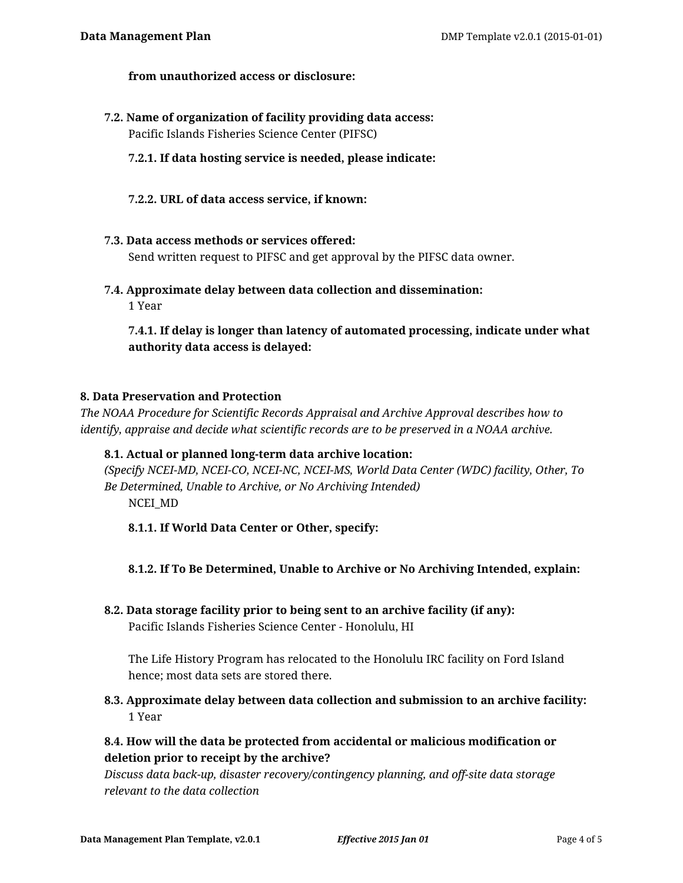### **from unauthorized access or disclosure:**

**7.2. Name of organization of facility providing data access:** Pacific Islands Fisheries Science Center (PIFSC)

### **7.2.1. If data hosting service is needed, please indicate:**

**7.2.2. URL of data access service, if known:**

#### **7.3. Data access methods or services offered:**

Send written request to PIFSC and get approval by the PIFSC data owner.

**7.4. Approximate delay between data collection and dissemination:** 1 Year

**7.4.1. If delay is longer than latency of automated processing, indicate under what authority data access is delayed:**

### **8. Data Preservation and Protection**

*The NOAA Procedure for Scientific Records Appraisal and Archive Approval describes how to identify, appraise and decide what scientific records are to be preserved in a NOAA archive.*

### **8.1. Actual or planned long-term data archive location:**

*(Specify NCEI-MD, NCEI-CO, NCEI-NC, NCEI-MS, World Data Center (WDC) facility, Other, To Be Determined, Unable to Archive, or No Archiving Intended)* NCEI\_MD

- **8.1.1. If World Data Center or Other, specify:**
- **8.1.2. If To Be Determined, Unable to Archive or No Archiving Intended, explain:**
- **8.2. Data storage facility prior to being sent to an archive facility (if any):**

Pacific Islands Fisheries Science Center - Honolulu, HI

The Life History Program has relocated to the Honolulu IRC facility on Ford Island hence; most data sets are stored there.

**8.3. Approximate delay between data collection and submission to an archive facility:** 1 Year

# **8.4. How will the data be protected from accidental or malicious modification or deletion prior to receipt by the archive?**

*Discuss data back-up, disaster recovery/contingency planning, and off-site data storage relevant to the data collection*